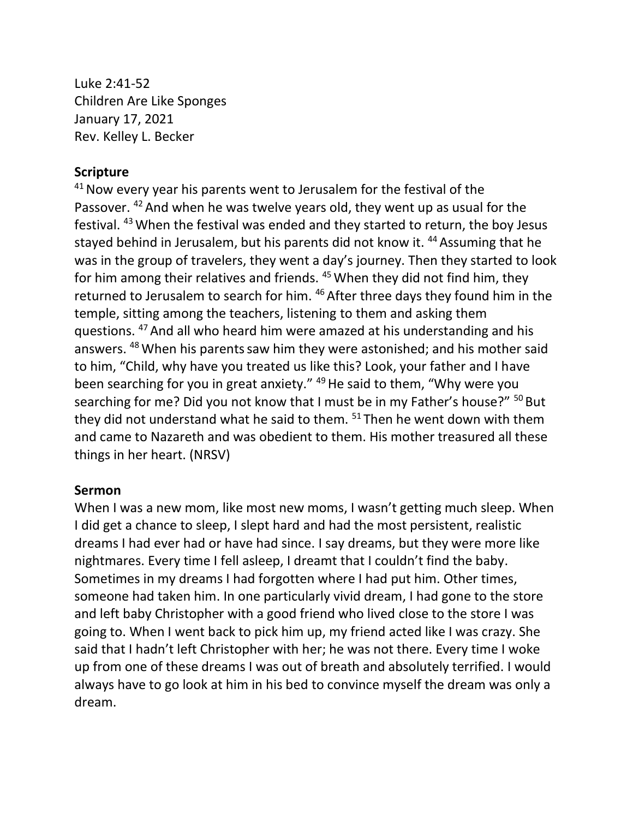Luke 2:41-52 Children Are Like Sponges January 17, 2021 Rev. Kelley L. Becker

## **Scripture**

 $41$  Now every year his parents went to Jerusalem for the festival of the Passover. <sup>42</sup> And when he was twelve years old, they went up as usual for the festival. <sup>43</sup>When the festival was ended and they started to return, the boy Jesus stayed behind in Jerusalem, but his parents did not know it. <sup>44</sup> Assuming that he was in the group of travelers, they went a day's journey. Then they started to look for him among their relatives and friends.  $45$  When they did not find him, they returned to Jerusalem to search for him. <sup>46</sup> After three days they found him in the temple, sitting among the teachers, listening to them and asking them questions. <sup>47</sup> And all who heard him were amazed at his understanding and his answers. <sup>48</sup> When his parents saw him they were astonished; and his mother said to him, "Child, why have you treated us like this? Look, your father and I have been searching for you in great anxiety." <sup>49</sup> He said to them, "Why were you searching for me? Did you not know that I must be in my Father's house?" <sup>50</sup> But they did not understand what he said to them.  $51$  Then he went down with them and came to Nazareth and was obedient to them. His mother treasured all these things in her heart. (NRSV)

## **Sermon**

When I was a new mom, like most new moms, I wasn't getting much sleep. When I did get a chance to sleep, I slept hard and had the most persistent, realistic dreams I had ever had or have had since. I say dreams, but they were more like nightmares. Every time I fell asleep, I dreamt that I couldn't find the baby. Sometimes in my dreams I had forgotten where I had put him. Other times, someone had taken him. In one particularly vivid dream, I had gone to the store and left baby Christopher with a good friend who lived close to the store I was going to. When I went back to pick him up, my friend acted like I was crazy. She said that I hadn't left Christopher with her; he was not there. Every time I woke up from one of these dreams I was out of breath and absolutely terrified. I would always have to go look at him in his bed to convince myself the dream was only a dream.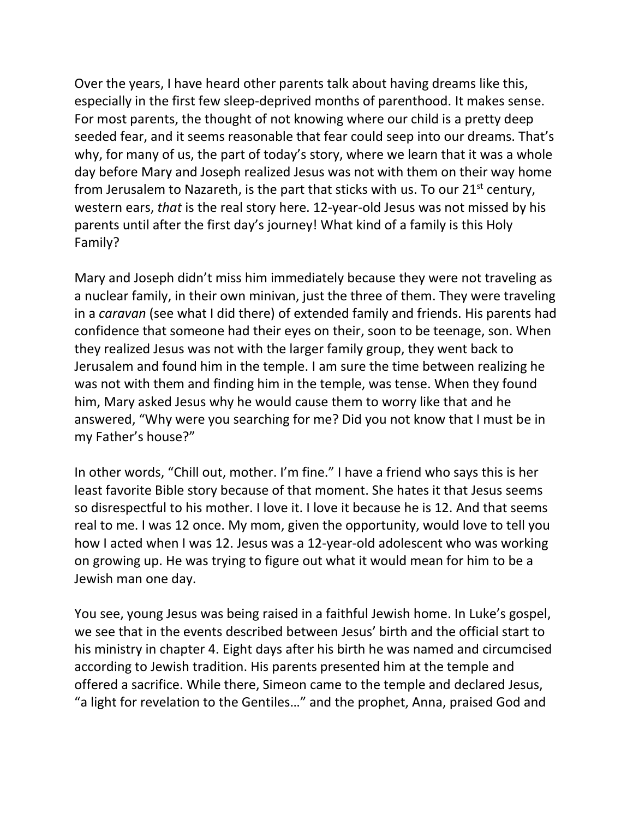Over the years, I have heard other parents talk about having dreams like this, especially in the first few sleep-deprived months of parenthood. It makes sense. For most parents, the thought of not knowing where our child is a pretty deep seeded fear, and it seems reasonable that fear could seep into our dreams. That's why, for many of us, the part of today's story, where we learn that it was a whole day before Mary and Joseph realized Jesus was not with them on their way home from Jerusalem to Nazareth, is the part that sticks with us. To our  $21<sup>st</sup>$  century, western ears, *that* is the real story here. 12-year-old Jesus was not missed by his parents until after the first day's journey! What kind of a family is this Holy Family?

Mary and Joseph didn't miss him immediately because they were not traveling as a nuclear family, in their own minivan, just the three of them. They were traveling in a *caravan* (see what I did there) of extended family and friends. His parents had confidence that someone had their eyes on their, soon to be teenage, son. When they realized Jesus was not with the larger family group, they went back to Jerusalem and found him in the temple. I am sure the time between realizing he was not with them and finding him in the temple, was tense. When they found him, Mary asked Jesus why he would cause them to worry like that and he answered, "Why were you searching for me? Did you not know that I must be in my Father's house?"

In other words, "Chill out, mother. I'm fine." I have a friend who says this is her least favorite Bible story because of that moment. She hates it that Jesus seems so disrespectful to his mother. I love it. I love it because he is 12. And that seems real to me. I was 12 once. My mom, given the opportunity, would love to tell you how I acted when I was 12. Jesus was a 12-year-old adolescent who was working on growing up. He was trying to figure out what it would mean for him to be a Jewish man one day.

You see, young Jesus was being raised in a faithful Jewish home. In Luke's gospel, we see that in the events described between Jesus' birth and the official start to his ministry in chapter 4. Eight days after his birth he was named and circumcised according to Jewish tradition. His parents presented him at the temple and offered a sacrifice. While there, Simeon came to the temple and declared Jesus, "a light for revelation to the Gentiles…" and the prophet, Anna, praised God and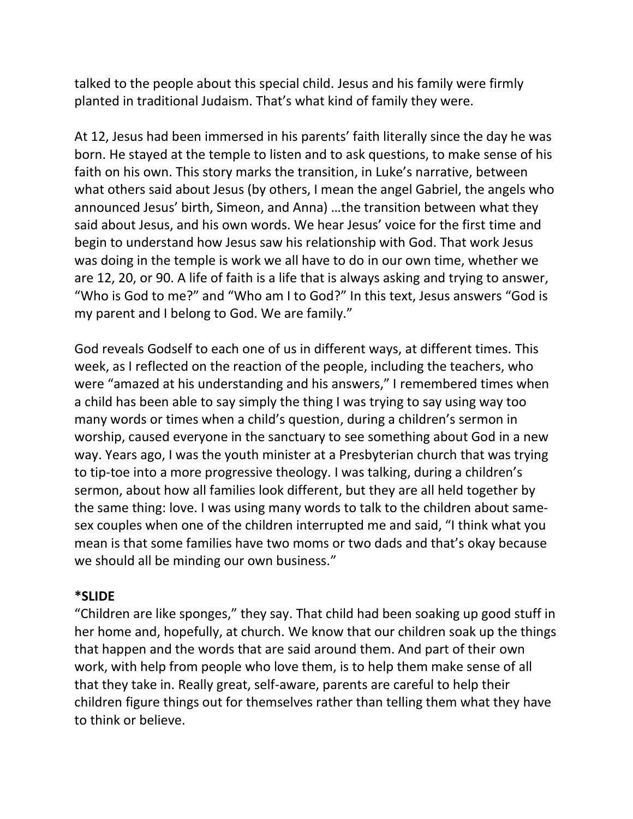talked to the people about this special child. Jesus and his family were firmly planted in traditional Judaism. That's what kind of family they were.

At 12, Jesus had been immersed in his parents' faith literally since the day he was born. He stayed at the temple to listen and to ask questions, to make sense of his faith on his own. This story marks the transition, in Luke's narrative, between what others said about Jesus (by others, I mean the angel Gabriel, the angels who announced Jesus' birth, Simeon, and Anna) …the transition between what they said about Jesus, and his own words. We hear Jesus' voice for the first time and begin to understand how Jesus saw his relationship with God. That work Jesus was doing in the temple is work we all have to do in our own time, whether we are 12, 20, or 90. A life of faith is a life that is always asking and trying to answer, "Who is God to me?" and "Who am I to God?" In this text, Jesus answers "God is my parent and I belong to God. We are family."

God reveals Godself to each one of us in different ways, at different times. This week, as I reflected on the reaction of the people, including the teachers, who were "amazed at his understanding and his answers," I remembered times when a child has been able to say simply the thing I was trying to say using way too many words or times when a child's question, during a children's sermon in worship, caused everyone in the sanctuary to see something about God in a new way. Years ago, I was the youth minister at a Presbyterian church that was trying to tip-toe into a more progressive theology. I was talking, during a children's sermon, about how all families look different, but they are all held together by the same thing: love. I was using many words to talk to the children about samesex couples when one of the children interrupted me and said, "I think what you mean is that some families have two moms or two dads and that's okay because we should all be minding our own business."

## **\*SLIDE**

"Children are like sponges," they say. That child had been soaking up good stuff in her home and, hopefully, at church. We know that our children soak up the things that happen and the words that are said around them. And part of their own work, with help from people who love them, is to help them make sense of all that they take in. Really great, self-aware, parents are careful to help their children figure things out for themselves rather than telling them what they have to think or believe.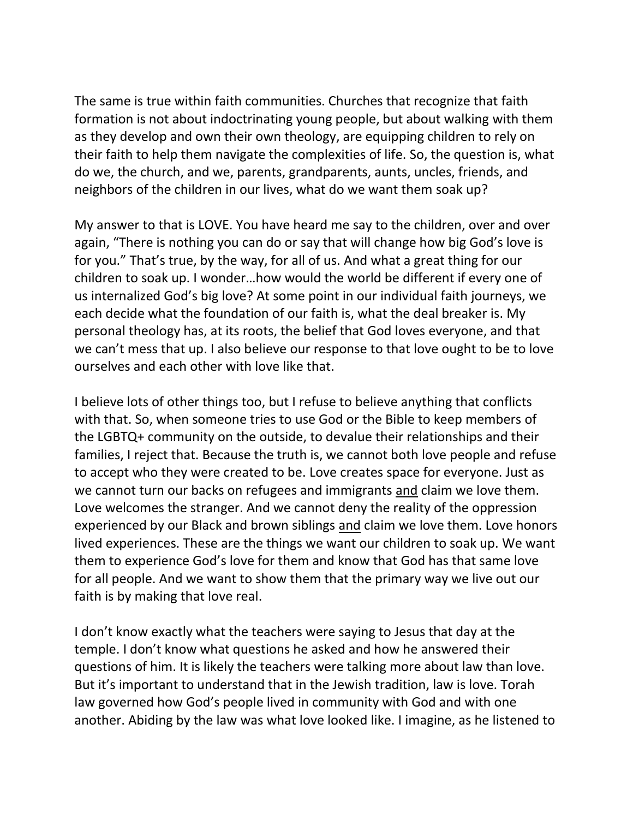The same is true within faith communities. Churches that recognize that faith formation is not about indoctrinating young people, but about walking with them as they develop and own their own theology, are equipping children to rely on their faith to help them navigate the complexities of life. So, the question is, what do we, the church, and we, parents, grandparents, aunts, uncles, friends, and neighbors of the children in our lives, what do we want them soak up?

My answer to that is LOVE. You have heard me say to the children, over and over again, "There is nothing you can do or say that will change how big God's love is for you." That's true, by the way, for all of us. And what a great thing for our children to soak up. I wonder…how would the world be different if every one of us internalized God's big love? At some point in our individual faith journeys, we each decide what the foundation of our faith is, what the deal breaker is. My personal theology has, at its roots, the belief that God loves everyone, and that we can't mess that up. I also believe our response to that love ought to be to love ourselves and each other with love like that.

I believe lots of other things too, but I refuse to believe anything that conflicts with that. So, when someone tries to use God or the Bible to keep members of the LGBTQ+ community on the outside, to devalue their relationships and their families, I reject that. Because the truth is, we cannot both love people and refuse to accept who they were created to be. Love creates space for everyone. Just as we cannot turn our backs on refugees and immigrants and claim we love them. Love welcomes the stranger. And we cannot deny the reality of the oppression experienced by our Black and brown siblings and claim we love them. Love honors lived experiences. These are the things we want our children to soak up. We want them to experience God's love for them and know that God has that same love for all people. And we want to show them that the primary way we live out our faith is by making that love real.

I don't know exactly what the teachers were saying to Jesus that day at the temple. I don't know what questions he asked and how he answered their questions of him. It is likely the teachers were talking more about law than love. But it's important to understand that in the Jewish tradition, law is love. Torah law governed how God's people lived in community with God and with one another. Abiding by the law was what love looked like. I imagine, as he listened to